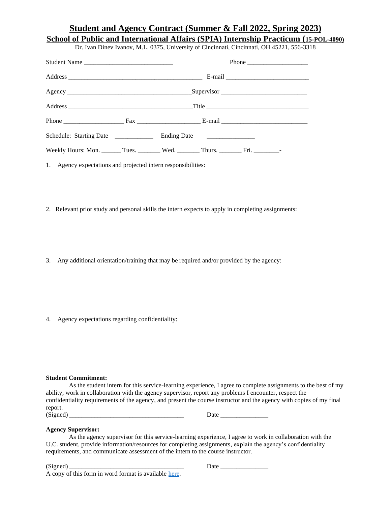## **Student and Agency Contract (Summer & Fall 2022, Spring 2023) School of Public and International Affairs (SPIA) Internship Practicum (15-POL-4090)**

Dr. Ivan Dinev Ivanov, M.L. 0375, University of Cincinnati, Cincinnati, OH 45221, 556-3318

| Student Name                                                                               |  |  |  | Phone |  |
|--------------------------------------------------------------------------------------------|--|--|--|-------|--|
|                                                                                            |  |  |  |       |  |
|                                                                                            |  |  |  |       |  |
|                                                                                            |  |  |  |       |  |
|                                                                                            |  |  |  |       |  |
|                                                                                            |  |  |  |       |  |
| Weekly Hours: Mon. ________ Tues. _________ Wed. ________ Thurs. _________ Fri. _________- |  |  |  |       |  |

1. Agency expectations and projected intern responsibilities:

- 2. Relevant prior study and personal skills the intern expects to apply in completing assignments:
- 3. Any additional orientation/training that may be required and/or provided by the agency:

4. Agency expectations regarding confidentiality:

#### **Student Commitment:**

As the student intern for this service-learning experience, I agree to complete assignments to the best of my ability, work in collaboration with the agency supervisor, report any problems I encounter, respect the confidentiality requirements of the agency, and present the course instructor and the agency with copies of my final report.

| noneg |
|-------|
|-------|

(Signed) \_\_\_\_\_\_\_\_\_\_\_\_\_\_\_\_\_\_\_\_\_\_\_\_\_\_\_\_\_\_\_\_\_\_\_\_ Date \_\_\_\_\_\_\_\_\_\_\_\_\_\_\_

#### **Agency Supervisor:**

As the agency supervisor for this service-learning experience, I agree to work in collaboration with the U.C. student, provide information/resources for completing assignments, explain the agency's confidentiality requirements, and communicate assessment of the intern to the course instructor.

A copy of this form in word format is available [here.](https://homepages.uc.edu/~ivanovid/pdfs/internship.docx)

(Signed) \_\_\_\_\_\_\_\_\_\_\_\_\_\_\_\_\_\_\_\_\_\_\_\_\_\_\_\_\_\_\_\_\_\_\_\_ Date \_\_\_\_\_\_\_\_\_\_\_\_\_\_\_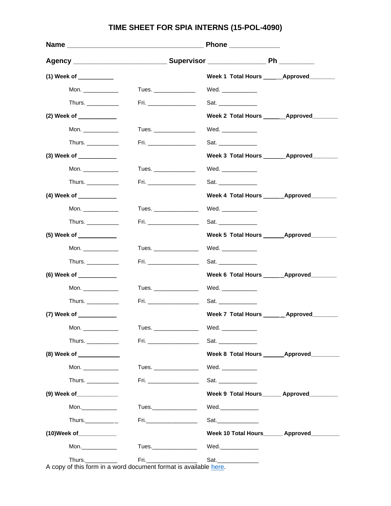# **TIME SHEET FOR SPIA INTERNS (15-POL-4090)**

|                                                                                                                                                                                                                                                                                                                                                                                                                                    |                                                                                                                                                                                                                                      | Phone _____________   |                                                |
|------------------------------------------------------------------------------------------------------------------------------------------------------------------------------------------------------------------------------------------------------------------------------------------------------------------------------------------------------------------------------------------------------------------------------------|--------------------------------------------------------------------------------------------------------------------------------------------------------------------------------------------------------------------------------------|-----------------------|------------------------------------------------|
| Agency ___________________________Supervisor ___________________Ph __________                                                                                                                                                                                                                                                                                                                                                      |                                                                                                                                                                                                                                      |                       |                                                |
| (1) Week of ___________                                                                                                                                                                                                                                                                                                                                                                                                            |                                                                                                                                                                                                                                      |                       | Week 1 Total Hours _______ Approved________    |
| Mon. $\frac{1}{2}$                                                                                                                                                                                                                                                                                                                                                                                                                 | Tues. $\frac{1}{2}$ Tues.                                                                                                                                                                                                            | Wed. ____________     |                                                |
| Thurs. $\frac{1}{2}$                                                                                                                                                                                                                                                                                                                                                                                                               | Fig. 11.21                                                                                                                                                                                                                           | Sat. _____________    |                                                |
| $(2)$ Week of $\_\_\_\_\_\_\_\_\_\_\_\_\_$                                                                                                                                                                                                                                                                                                                                                                                         |                                                                                                                                                                                                                                      |                       | Week 2 Total Hours ________ Approved________   |
| Mon. $\qquad \qquad$                                                                                                                                                                                                                                                                                                                                                                                                               | Tues. $\frac{1}{2}$ Tues.                                                                                                                                                                                                            | Wed. _____________    |                                                |
| Thurs. $\frac{1}{\sqrt{1-\frac{1}{2}}\cdot\sqrt{1-\frac{1}{2}}\cdot\sqrt{1-\frac{1}{2}}\cdot\sqrt{1-\frac{1}{2}}\cdot\sqrt{1-\frac{1}{2}}\cdot\sqrt{1-\frac{1}{2}}\cdot\sqrt{1-\frac{1}{2}}\cdot\sqrt{1-\frac{1}{2}}\cdot\sqrt{1-\frac{1}{2}}\cdot\sqrt{1-\frac{1}{2}}\cdot\sqrt{1-\frac{1}{2}}\cdot\sqrt{1-\frac{1}{2}}\cdot\sqrt{1-\frac{1}{2}}\cdot\sqrt{1-\frac{1}{2}}\cdot\sqrt{1-\frac{1}{2}}\cdot\sqrt{1-\frac{1}{2}}\cdot$ | Fri. ___________________                                                                                                                                                                                                             | Sat. ____________     |                                                |
| $(3)$ Week of $\_\_\_\_\_\_\_\_\_\_\_\_$                                                                                                                                                                                                                                                                                                                                                                                           |                                                                                                                                                                                                                                      |                       | Week 3 Total Hours ________ Approved________   |
| Mon. $\frac{1}{2}$                                                                                                                                                                                                                                                                                                                                                                                                                 | Tues. ________________                                                                                                                                                                                                               | Wed. $\_\_$           |                                                |
| Thurs. $\frac{1}{2}$ Thurs.                                                                                                                                                                                                                                                                                                                                                                                                        | <b>Fri.</b> Prints and the second second second second second second second second second second second second second                                                                                                                | Sat.                  |                                                |
| (4) Week of _____________                                                                                                                                                                                                                                                                                                                                                                                                          |                                                                                                                                                                                                                                      |                       | Week 4 Total Hours _________ Approved_________ |
|                                                                                                                                                                                                                                                                                                                                                                                                                                    | Tues. $\frac{1}{\sqrt{1-\frac{1}{2}}\cdot\frac{1}{2}}$                                                                                                                                                                               | Wed. $\frac{1}{2}$    |                                                |
| Thurs. $\frac{1}{2}$                                                                                                                                                                                                                                                                                                                                                                                                               | Fri. A contract the contract of the contract of the contract of the contract of the contract of the contract of the contract of the contract of the contract of the contract of the contract of the contract of the contract o       | Sat. _______________  |                                                |
| (5) Week of ___________                                                                                                                                                                                                                                                                                                                                                                                                            |                                                                                                                                                                                                                                      |                       | Week 5 Total Hours _________ Approved_________ |
|                                                                                                                                                                                                                                                                                                                                                                                                                                    | Tues. _________________                                                                                                                                                                                                              | Wed. $\_\_$           |                                                |
| Thurs. $\frac{1}{\sqrt{1-\frac{1}{2}}\cdot\frac{1}{2}}$                                                                                                                                                                                                                                                                                                                                                                            |                                                                                                                                                                                                                                      | Sat. ______________   |                                                |
| (6) Week of ____________                                                                                                                                                                                                                                                                                                                                                                                                           |                                                                                                                                                                                                                                      |                       | Week 6 Total Hours ________ Approved________   |
| Mon. $\frac{1}{\sqrt{1-\frac{1}{2}}\cdot\frac{1}{2}}$                                                                                                                                                                                                                                                                                                                                                                              | Tues. _________________                                                                                                                                                                                                              | Wed. ____________     |                                                |
| Thurs. $\frac{1}{2}$                                                                                                                                                                                                                                                                                                                                                                                                               | Fri. <u>Alexander State Communication</u>                                                                                                                                                                                            | Sat. ___________      |                                                |
| (7) Week of ____________                                                                                                                                                                                                                                                                                                                                                                                                           |                                                                                                                                                                                                                                      |                       | Week 7 Total Hours _______ Approved_______     |
| Mon.                                                                                                                                                                                                                                                                                                                                                                                                                               | Tues. _______________                                                                                                                                                                                                                | Wed. ____________     |                                                |
| Thurs. $\frac{1}{2}$                                                                                                                                                                                                                                                                                                                                                                                                               | Fri. ______________________                                                                                                                                                                                                          | Sat.                  |                                                |
| (8) Week of _____________                                                                                                                                                                                                                                                                                                                                                                                                          |                                                                                                                                                                                                                                      |                       | Week 8 Total Hours ________ Approved_________  |
| Mon. $\frac{1}{2}$                                                                                                                                                                                                                                                                                                                                                                                                                 | Tues. __________________                                                                                                                                                                                                             | Wed. _____________    |                                                |
| Thurs. $\frac{1}{2}$ Thurs.                                                                                                                                                                                                                                                                                                                                                                                                        |                                                                                                                                                                                                                                      | Sat. ______________   |                                                |
| (9) Week of ______________                                                                                                                                                                                                                                                                                                                                                                                                         |                                                                                                                                                                                                                                      |                       | Week 9 Total Hours_______ Approved________     |
| Mon.                                                                                                                                                                                                                                                                                                                                                                                                                               | Tues._________________                                                                                                                                                                                                               | Wed.______________    |                                                |
| Thurs. $\sqrt{a}$                                                                                                                                                                                                                                                                                                                                                                                                                  | Fri. _______________________                                                                                                                                                                                                         | Sat. _______________  |                                                |
| (10) Week of _____________                                                                                                                                                                                                                                                                                                                                                                                                         |                                                                                                                                                                                                                                      |                       | Week 10 Total Hours_______ Approved_________   |
| Mon. And the control of the control of the control of the control of the control of the control of the control of the control of the control of the control of the control of the control of the control of the control of the                                                                                                                                                                                                     | Tues. <b>The contract of the contract of the contract of the contract of the contract of the contract of the contract of the contract of the contract of the contract of the contract of the contract of the contract of the con</b> | Wed._______________   |                                                |
| Thurs. $\frac{1}{1}$                                                                                                                                                                                                                                                                                                                                                                                                               | Fri.                                                                                                                                                                                                                                 | Sat._________________ |                                                |

A copy of this form in a word document format is available [here.](https://homepages.uc.edu/~ivanovid/pdfs/internship.docx)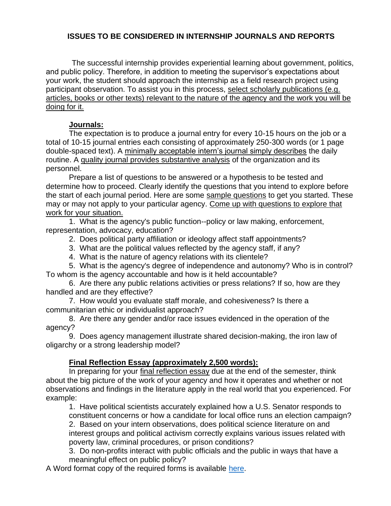## **ISSUES TO BE CONSIDERED IN INTERNSHIP JOURNALS AND REPORTS**

The successful internship provides experiential learning about government, politics, and public policy. Therefore, in addition to meeting the supervisor's expectations about your work, the student should approach the internship as a field research project using participant observation. To assist you in this process, select scholarly publications (e.g. articles, books or other texts) relevant to the nature of the agency and the work you will be doing for it.

#### **Journals:**

The expectation is to produce a journal entry for every 10-15 hours on the job or a total of 10-15 journal entries each consisting of approximately 250-300 words (or 1 page double-spaced text). A minimally acceptable intern's journal simply describes the daily routine. A quality journal provides substantive analysis of the organization and its personnel.

Prepare a list of questions to be answered or a hypothesis to be tested and determine how to proceed. Clearly identify the questions that you intend to explore before the start of each journal period. Here are some sample questions to get you started. These may or may not apply to your particular agency. Come up with questions to explore that work for your situation.

1. What is the agency's public function--policy or law making, enforcement, representation, advocacy, education?

- 2. Does political party affiliation or ideology affect staff appointments?
- 3. What are the political values reflected by the agency staff, if any?
- 4. What is the nature of agency relations with its clientele?

5. What is the agency's degree of independence and autonomy? Who is in control? To whom is the agency accountable and how is it held accountable?

6. Are there any public relations activities or press relations? If so, how are they handled and are they effective?

7. How would you evaluate staff morale, and cohesiveness? Is there a communitarian ethic or individualist approach?

8. Are there any gender and/or race issues evidenced in the operation of the agency?

9. Does agency management illustrate shared decision-making, the iron law of oligarchy or a strong leadership model?

## **Final Reflection Essay (approximately 2,500 words):**

In preparing for your final reflection essay due at the end of the semester, think about the big picture of the work of your agency and how it operates and whether or not observations and findings in the literature apply in the real world that you experienced. For example:

1. Have political scientists accurately explained how a U.S. Senator responds to constituent concerns or how a candidate for local office runs an election campaign?

2. Based on your intern observations, does political science literature on and interest groups and political activism correctly explains various issues related with poverty law, criminal procedures, or prison conditions?

3. Do non-profits interact with public officials and the public in ways that have a meaningful effect on public policy?

A Word format copy of the required forms is available [here.](https://homepages.uc.edu/~ivanovid/pdfs/internship.docx)